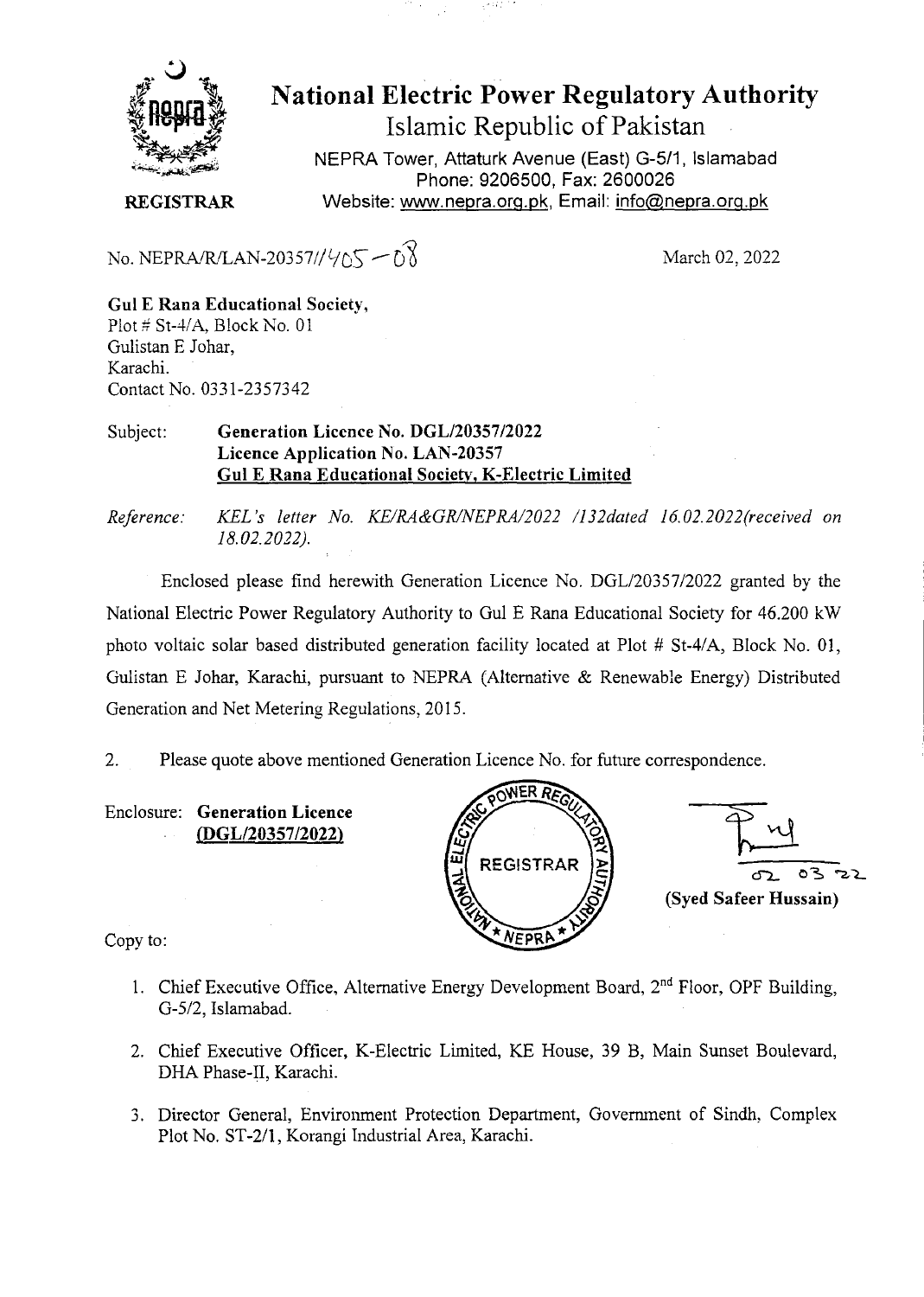

National Electric Power Regulatory Authority Islamic Republic of Pakistan

NEPRA Tower, Attaturk Avenue (East) G-511, Islamabad Phone: 9206500, Fax: 2600026 **REGISTRAR** Website: www.nepra.org.pk, Email: info@nepra.org.pk

March 02, 2022

**Gui E Rana Educational Society,**  Plot  $\#$  St-4/A, Block No. 01 Gulistan E Johar, Karachi. Contact No. *033* 1-2357342

No. NEPRA/R/LAN-20357// $\sqrt{5}$  –  $\sqrt{8}$ 

Subject: **Generation Licence No. DGL/20357/2022 Licence Application No. LAN-20357 Gui E Rana Educational Society, K-Electric Limited** 

*Reference: KEL 's letter No. KE/RA&GR/NEPRA/2022 /132dated 16. 02.2022(received on 18.02.2022).* 

Enclosed please find herewith Generation Licence No. *DGL120357/2022* granted by the National Electric Power Regulatory Authority to Gul E Rana Educational Society for 46.200 kW photo voltaic solar based distributed generation facility located at Plot # *St-41A,* Block No. 01, Gulistan E Johar, Karachi, pursuant to NEPRA (Alternative & Renewable Energy) Distributed Generation and Net Metering Regulations, 2015.

2. Please quote above mentioned Generation Licence No. for future correspondence.

Enclosure: **Generation Licence**  *(DGL12035712022)* 





Copy to:

- 1. Chief Executive Office, Alternative Energy Development Board, 2<sup>nd</sup> Floor, OPF Building, *G-512,* Islamabad.
- 2. Chief Executive Officer, K-Electric Limited, KE House, 39 B, Main Sunset Boulevard, DHA Phase-II, Karachi.
- 3. Director General, Environment Protection Department, Government of Sindh. Complex Plot No. ST-2/1, Korangi Industrial Area, Karachi.